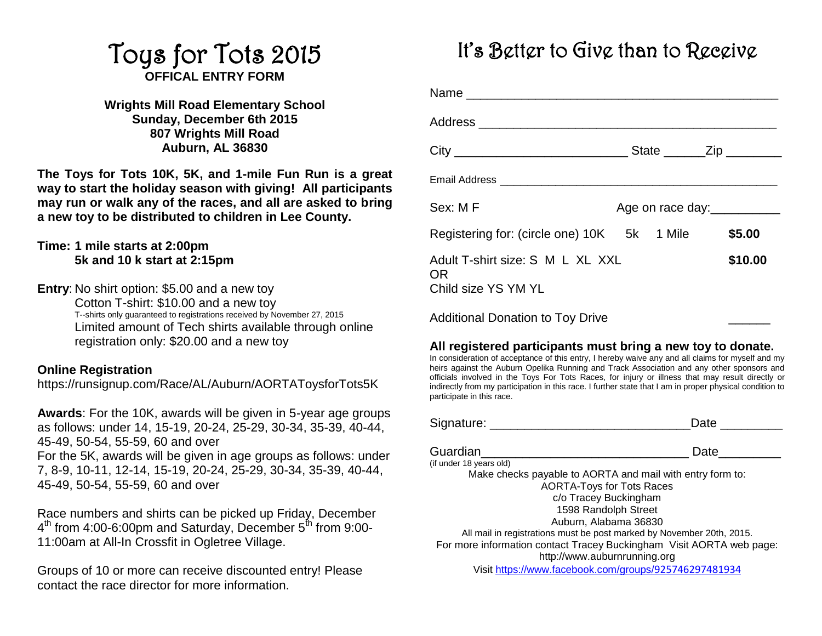### Toys for Tots 2015 **OFFICAL ENTRY FORM**

**Wrights Mill Road Elementary School Sunday, December 6th 2015 807 Wrights Mill Road Auburn, AL 36830**

**The Toys for Tots 10K, 5K, and 1-mile Fun Run is a great way to start the holiday season with giving! All participants may run or walk any of the races, and all are asked to bring a new toy to be distributed to children in Lee County.** 

### **Time: 1 mile starts at 2:00pm 5k and 10 k start at 2:15pm**

**Entry**: No shirt option: \$5.00 and a new toy Cotton T-shirt: \$10.00 and a new toy T--shirts only guaranteed to registrations received by November 27, 2015 Limited amount of Tech shirts available through online registration only: \$20.00 and a new toy

#### **Online Registration**

https://runsignup.com/Race/AL/Auburn/AORTAToysforTots5K

**Awards**: For the 10K, awards will be given in 5-year age groups as follows: under 14, 15-19, 20-24, 25-29, 30-34, 35-39, 40-44, 45-49, 50-54, 55-59, 60 and over For the 5K, awards will be given in age groups as follows: under 7, 8-9, 10-11, 12-14, 15-19, 20-24, 25-29, 30-34, 35-39, 40-44, 45-49, 50-54, 55-59, 60 and over

Race numbers and shirts can be picked up Friday, December 4<sup>th</sup> from 4:00-6:00pm and Saturday, December 5<sup>th</sup> from 9:00-11:00am at All-In Crossfit in Ogletree Village.

Groups of 10 or more can receive discounted entry! Please contact the race director for more information.

### It's Better to Give than to Receive

| Sex: MF                                                       |  | Age on race day: |
|---------------------------------------------------------------|--|------------------|
| Registering for: (circle one) 10K 5k 1 Mile \$5.00            |  |                  |
| Adult T-shirt size: S M L XL XXL<br>OR<br>Child size YS YM YL |  | \$10.00          |
| <b>Additional Donation to Toy Drive</b>                       |  |                  |

### **All registered participants must bring a new toy to donate.**

In consideration of acceptance of this entry, I hereby waive any and all claims for myself and my heirs against the Auburn Opelika Running and Track Association and any other sponsors and officials involved in the Toys For Tots Races, for injury or illness that may result directly or indirectly from my participation in this race. I further state that I am in proper physical condition to participate in this race.

| Signature: |  |
|------------|--|
|            |  |

| Guardian                                                              | Date |
|-----------------------------------------------------------------------|------|
| (if under 18 years old)                                               |      |
| Make checks payable to AORTA and mail with entry form to:             |      |
| <b>AORTA-Toys for Tots Races</b>                                      |      |
| c/o Tracey Buckingham                                                 |      |
| 1598 Randolph Street                                                  |      |
| Auburn, Alabama 36830                                                 |      |
| All mail in registrations must be post marked by November 20th, 2015. |      |
| For more information contact Tracey Buckingham Visit AORTA web page:  |      |
| http://www.auburnrunning.org                                          |      |
| Visit https://www.facebook.com/groups/925746297481934                 |      |
|                                                                       |      |